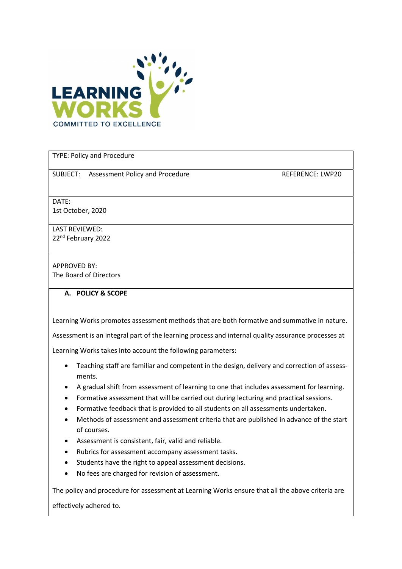

TYPE: Policy and Procedure

SUBJECT: Assessment Policy and Procedure **REFERENCE: LWP20** 

DATE: 1st October, 2020

LAST REVIEWED: 22nd February 2022

APPROVED BY: The Board of Directors

## A. POLICY & SCOPE

Learning Works promotes assessment methods that are both formative and summative in nature.

Assessment is an integral part of the learning process and internal quality assurance processes at

Learning Works takes into account the following parameters:

- Teaching staff are familiar and competent in the design, delivery and correction of assessments.
- A gradual shift from assessment of learning to one that includes assessment for learning.
- Formative assessment that will be carried out during lecturing and practical sessions.
- Formative feedback that is provided to all students on all assessments undertaken.
- Methods of assessment and assessment criteria that are published in advance of the start of courses.
- Assessment is consistent, fair, valid and reliable.
- Rubrics for assessment accompany assessment tasks.
- Students have the right to appeal assessment decisions.
- No fees are charged for revision of assessment.

The policy and procedure for assessment at Learning Works ensure that all the above criteria are

effectively adhered to.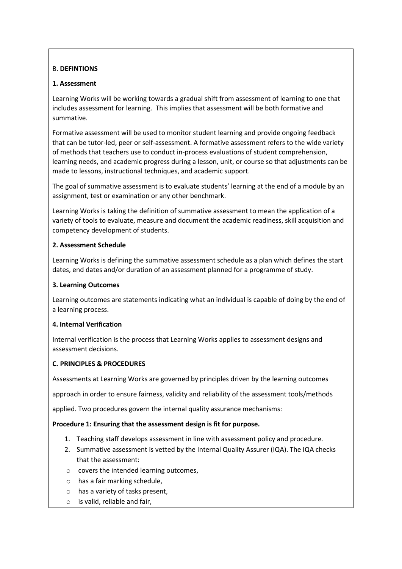# B. DEFINTIONS

## 1. Assessment

Learning Works will be working towards a gradual shift from assessment of learning to one that includes assessment for learning. This implies that assessment will be both formative and summative.

Formative assessment will be used to monitor student learning and provide ongoing feedback that can be tutor-led, peer or self-assessment. A formative assessment refers to the wide variety of methods that teachers use to conduct in-process evaluations of student comprehension, learning needs, and academic progress during a lesson, unit, or course so that adjustments can be made to lessons, instructional techniques, and academic support.

The goal of summative assessment is to evaluate students' learning at the end of a module by an assignment, test or examination or any other benchmark.

Learning Works is taking the definition of summative assessment to mean the application of a variety of tools to evaluate, measure and document the academic readiness, skill acquisition and competency development of students.

## 2. Assessment Schedule

Learning Works is defining the summative assessment schedule as a plan which defines the start dates, end dates and/or duration of an assessment planned for a programme of study.

## 3. Learning Outcomes

Learning outcomes are statements indicating what an individual is capable of doing by the end of a learning process.

## 4. Internal Verification

Internal verification is the process that Learning Works applies to assessment designs and assessment decisions.

# C. PRINCIPLES & PROCEDURES

Assessments at Learning Works are governed by principles driven by the learning outcomes

approach in order to ensure fairness, validity and reliability of the assessment tools/methods

applied. Two procedures govern the internal quality assurance mechanisms:

## Procedure 1: Ensuring that the assessment design is fit for purpose.

- 1. Teaching staff develops assessment in line with assessment policy and procedure.
- 2. Summative assessment is vetted by the Internal Quality Assurer (IQA). The IQA checks that the assessment:
- o covers the intended learning outcomes,
- o has a fair marking schedule,
- o has a variety of tasks present,
- o is valid, reliable and fair,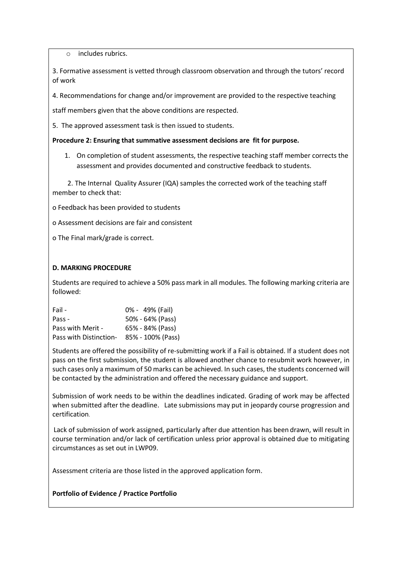o includes rubrics.

3. Formative assessment is vetted through classroom observation and through the tutors' record of work

4. Recommendations for change and/or improvement are provided to the respective teaching

staff members given that the above conditions are respected.

5. The approved assessment task is then issued to students.

#### Procedure 2: Ensuring that summative assessment decisions are fit for purpose.

1. On completion of student assessments, the respective teaching staff member corrects the assessment and provides documented and constructive feedback to students.

 2. The Internal Quality Assurer (IQA) samples the corrected work of the teaching staff member to check that:

o Feedback has been provided to students

o Assessment decisions are fair and consistent

o The Final mark/grade is correct.

#### D. MARKING PROCEDURE

Students are required to achieve a 50% pass mark in all modules. The following marking criteria are followed:

| Fail -                 | 0% - 49% (Fail)   |
|------------------------|-------------------|
| Pass -                 | 50% - 64% (Pass)  |
| Pass with Merit -      | 65% - 84% (Pass)  |
| Pass with Distinction- | 85% - 100% (Pass) |

Students are offered the possibility of re-submitting work if a Fail is obtained. If a student does not pass on the first submission, the student is allowed another chance to resubmit work however, in such cases only a maximum of 50 marks can be achieved. In such cases, the students concerned will be contacted by the administration and offered the necessary guidance and support.

Submission of work needs to be within the deadlines indicated. Grading of work may be affected when submitted after the deadline. Late submissions may put in jeopardy course progression and certification.

Lack of submission of work assigned, particularly after due attention has been drawn, will result in course termination and/or lack of certification unless prior approval is obtained due to mitigating circumstances as set out in LWP09.

Assessment criteria are those listed in the approved application form.

## Portfolio of Evidence / Practice Portfolio